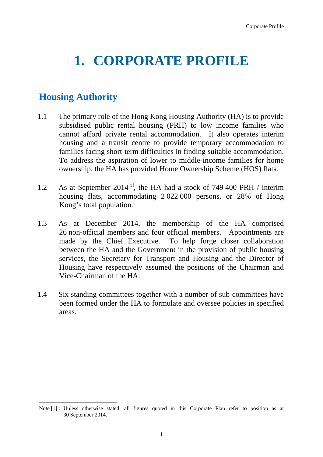## **1. CORPORATE PROFILE**

## **Housing Authority**

- 1.1 The primary role of the Hong Kong Housing Authority (HA) is to provide subsidised public rental housing (PRH) to low income families who cannot afford private rental accommodation. It also operates interim housing and a transit centre to provide temporary accommodation to families facing short-term difficulties in finding suitable accommodation. To address the aspiration of lower to middle-income families for home ownership, the HA has provided Home Ownership Scheme (HOS) flats.
- 1.2 As at September 2014<sup>[1]</sup>, the HA had a stock of 749 400 PRH / interim housing flats, accommodating 2 022 000 persons, or 28% of Hong Kong's total population.
- 1.3 As at December 2014, the membership of the HA comprised 26 non-official members and four official members. Appointments are made by the Chief Executive. To help forge closer collaboration between the HA and the Government in the provision of public housing services, the Secretary for Transport and Housing and the Director of Housing have respectively assumed the positions of the Chairman and Vice-Chairman of the HA.
- 1.4 Six standing committees together with a number of sub-committees have been formed under the HA to formulate and oversee policies in specified areas.

<sup>1</sup> Note [1] : Unless otherwise stated, all figures quoted in this Corporate Plan refer to position as at 30 September 2014.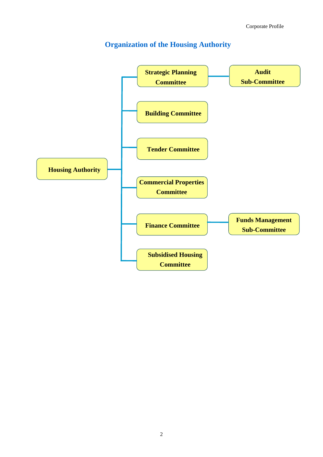## **Organization of the Housing Authority**

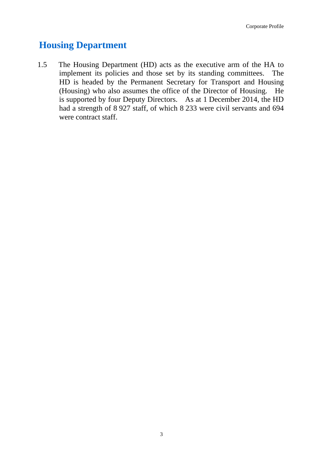## **Housing Department**

1.5 The Housing Department (HD) acts as the executive arm of the HA to implement its policies and those set by its standing committees. The HD is headed by the Permanent Secretary for Transport and Housing (Housing) who also assumes the office of the Director of Housing. He is supported by four Deputy Directors. As at 1 December 2014, the HD had a strength of 8 927 staff, of which 8 233 were civil servants and 694 were contract staff.